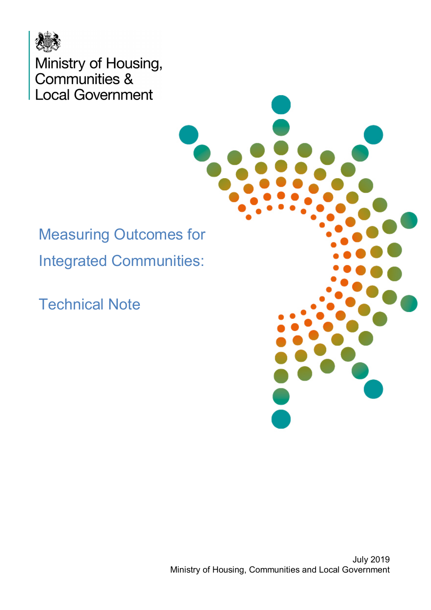

Ministry of Housing,<br>Communities & **Local Government** 

Measuring Outcomes for Integrated Communities:

Technical Note

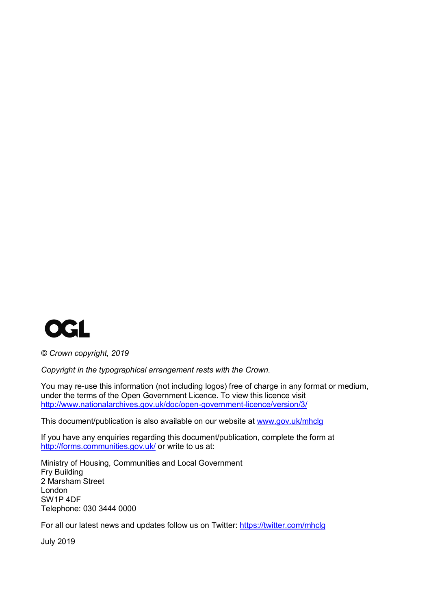

*© Crown copyright, 2019*

*Copyright in the typographical arrangement rests with the Crown.*

You may re-use this information (not including logos) free of charge in any format or medium, under the terms of the Open Government Licence. To view this licence visit <http://www.nationalarchives.gov.uk/doc/open-government-licence/version/3/>

This document/publication is also available on our website at [www.gov.uk/mhclg](http://www.gov.uk/mhclg)

If you have any enquiries regarding this document/publication, complete the form at <http://forms.communities.gov.uk/> or write to us at:

Ministry of Housing, Communities and Local Government Fry Building 2 Marsham Street London SW1P 4DF Telephone: 030 3444 0000

For all our latest news and updates follow us on Twitter:<https://twitter.com/mhclg>

July 2019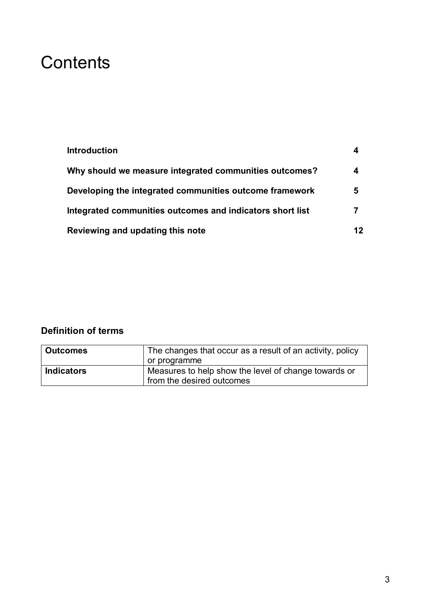## **Contents**

| <b>Introduction</b>                                       |    |
|-----------------------------------------------------------|----|
| Why should we measure integrated communities outcomes?    | 4  |
| Developing the integrated communities outcome framework   | 5  |
| Integrated communities outcomes and indicators short list | 7  |
| Reviewing and updating this note                          | 12 |

#### **Definition of terms**

| <b>Outcomes</b>   | The changes that occur as a result of an activity, policy                         |
|-------------------|-----------------------------------------------------------------------------------|
|                   | or programme                                                                      |
| <b>Indicators</b> | Measures to help show the level of change towards or<br>from the desired outcomes |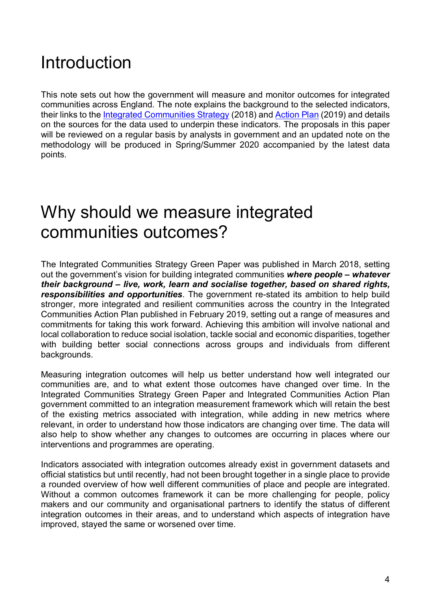## Introduction

This note sets out how the government will measure and monitor outcomes for integrated communities across England. The note explains the background to the selected indicators, their links to the [Integrated Communities Strategy](https://assets.publishing.service.gov.uk/government/uploads/system/uploads/attachment_data/file/696993/Integrated_Communities_Strategy.pdf) (2018) and [Action Plan](https://assets.publishing.service.gov.uk/government/uploads/system/uploads/attachment_data/file/778045/Integrated_Communities_Strategy_Govt_Action_Plan.pdf) (2019) and details on the sources for the data used to underpin these indicators. The proposals in this paper will be reviewed on a regular basis by analysts in government and an updated note on the methodology will be produced in Spring/Summer 2020 accompanied by the latest data points.

### Why should we measure integrated communities outcomes?

The Integrated Communities Strategy Green Paper was published in March 2018, setting out the government's vision for building integrated communities *where people – whatever their background – live, work, learn and socialise together, based on shared rights, responsibilities and opportunities*. The government re-stated its ambition to help build stronger, more integrated and resilient communities across the country in the Integrated Communities Action Plan published in February 2019, setting out a range of measures and commitments for taking this work forward. Achieving this ambition will involve national and local collaboration to reduce social isolation, tackle social and economic disparities, together with building better social connections across groups and individuals from different backgrounds.

Measuring integration outcomes will help us better understand how well integrated our communities are, and to what extent those outcomes have changed over time. In the Integrated Communities Strategy Green Paper and Integrated Communities Action Plan government committed to an integration measurement framework which will retain the best of the existing metrics associated with integration, while adding in new metrics where relevant, in order to understand how those indicators are changing over time. The data will also help to show whether any changes to outcomes are occurring in places where our interventions and programmes are operating.

Indicators associated with integration outcomes already exist in government datasets and official statistics but until recently, had not been brought together in a single place to provide a rounded overview of how well different communities of place and people are integrated. Without a common outcomes framework it can be more challenging for people, policy makers and our community and organisational partners to identify the status of different integration outcomes in their areas, and to understand which aspects of integration have improved, stayed the same or worsened over time.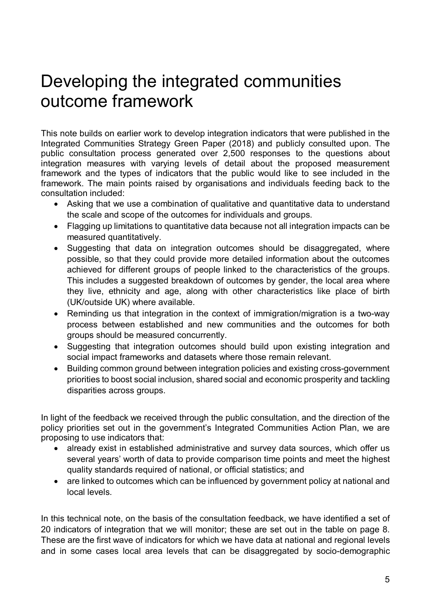## Developing the integrated communities outcome framework

This note builds on earlier work to develop integration indicators that were published in the Integrated Communities Strategy Green Paper (2018) and publicly consulted upon. The public consultation process generated over 2,500 responses to the questions about integration measures with varying levels of detail about the proposed measurement framework and the types of indicators that the public would like to see included in the framework. The main points raised by organisations and individuals feeding back to the consultation included:

- Asking that we use a combination of qualitative and quantitative data to understand the scale and scope of the outcomes for individuals and groups.
- Flagging up limitations to quantitative data because not all integration impacts can be measured quantitatively.
- Suggesting that data on integration outcomes should be disaggregated, where possible, so that they could provide more detailed information about the outcomes achieved for different groups of people linked to the characteristics of the groups. This includes a suggested breakdown of outcomes by gender, the local area where they live, ethnicity and age, along with other characteristics like place of birth (UK/outside UK) where available.
- Reminding us that integration in the context of immigration/migration is a two-way process between established and new communities and the outcomes for both groups should be measured concurrently.
- Suggesting that integration outcomes should build upon existing integration and social impact frameworks and datasets where those remain relevant.
- Building common ground between integration policies and existing cross-government priorities to boost social inclusion, shared social and economic prosperity and tackling disparities across groups.

In light of the feedback we received through the public consultation, and the direction of the policy priorities set out in the government's Integrated Communities Action Plan, we are proposing to use indicators that:

- already exist in established administrative and survey data sources, which offer us several years' worth of data to provide comparison time points and meet the highest quality standards required of national, or official statistics; and
- are linked to outcomes which can be influenced by government policy at national and local levels.

In this technical note, on the basis of the consultation feedback, we have identified a set of 20 indicators of integration that we will monitor; these are set out in the table on page 8. These are the first wave of indicators for which we have data at national and regional levels and in some cases local area levels that can be disaggregated by socio-demographic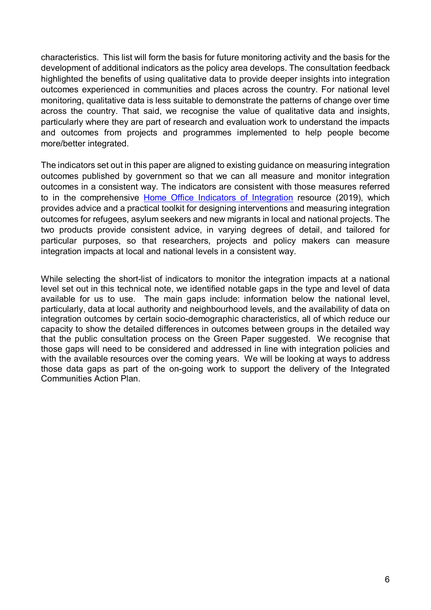characteristics. This list will form the basis for future monitoring activity and the basis for the development of additional indicators as the policy area develops. The consultation feedback highlighted the benefits of using qualitative data to provide deeper insights into integration outcomes experienced in communities and places across the country. For national level monitoring, qualitative data is less suitable to demonstrate the patterns of change over time across the country. That said, we recognise the value of qualitative data and insights, particularly where they are part of research and evaluation work to understand the impacts and outcomes from projects and programmes implemented to help people become more/better integrated.

The indicators set out in this paper are aligned to existing guidance on measuring integration outcomes published by government so that we can all measure and monitor integration outcomes in a consistent way. The indicators are consistent with those measures referred to in the comprehensive [Home Office Indicators of Integration](https://www.gov.uk/government/publications/home-office-indicators-of-integration-framework-2019) resource (2019), which provides advice and a practical toolkit for designing interventions and measuring integration outcomes for refugees, asylum seekers and new migrants in local and national projects. The two products provide consistent advice, in varying degrees of detail, and tailored for particular purposes, so that researchers, projects and policy makers can measure integration impacts at local and national levels in a consistent way.

While selecting the short-list of indicators to monitor the integration impacts at a national level set out in this technical note, we identified notable gaps in the type and level of data available for us to use. The main gaps include: information below the national level, particularly, data at local authority and neighbourhood levels, and the availability of data on integration outcomes by certain socio-demographic characteristics, all of which reduce our capacity to show the detailed differences in outcomes between groups in the detailed way that the public consultation process on the Green Paper suggested. We recognise that those gaps will need to be considered and addressed in line with integration policies and with the available resources over the coming years. We will be looking at ways to address those data gaps as part of the on-going work to support the delivery of the Integrated Communities Action Plan.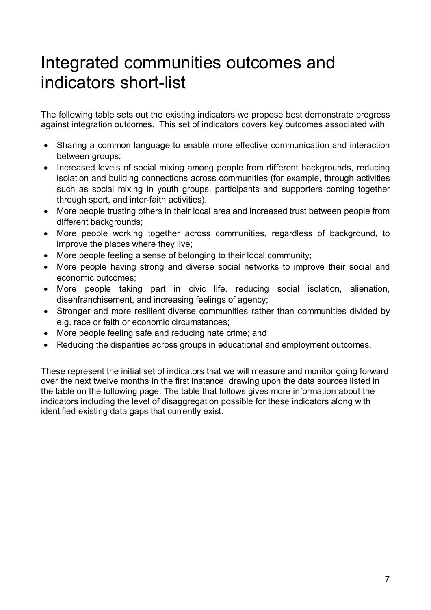# Integrated communities outcomes and indicators short-list

The following table sets out the existing indicators we propose best demonstrate progress against integration outcomes. This set of indicators covers key outcomes associated with:

- Sharing a common language to enable more effective communication and interaction between groups;
- Increased levels of social mixing among people from different backgrounds, reducing isolation and building connections across communities (for example, through activities such as social mixing in youth groups, participants and supporters coming together through sport, and inter-faith activities).
- More people trusting others in their local area and increased trust between people from different backgrounds;
- More people working together across communities, regardless of background, to improve the places where they live;
- More people feeling a sense of belonging to their local community;
- More people having strong and diverse social networks to improve their social and economic outcomes;
- More people taking part in civic life, reducing social isolation, alienation, disenfranchisement, and increasing feelings of agency;
- Stronger and more resilient diverse communities rather than communities divided by e.g. race or faith or economic circumstances;
- More people feeling safe and reducing hate crime; and
- Reducing the disparities across groups in educational and employment outcomes.

These represent the initial set of indicators that we will measure and monitor going forward over the next twelve months in the first instance, drawing upon the data sources listed in the table on the following page. The table that follows gives more information about the indicators including the level of disaggregation possible for these indicators along with identified existing data gaps that currently exist.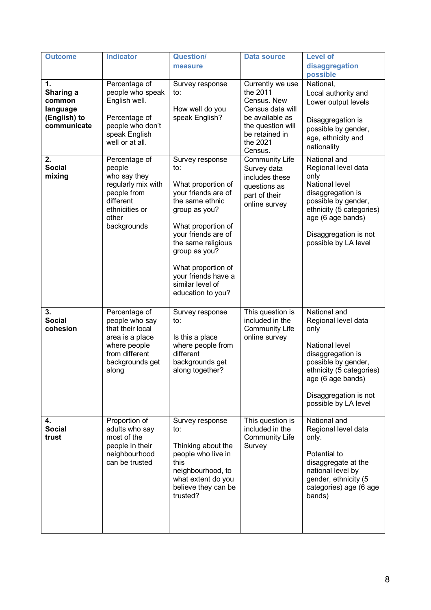| <b>Outcome</b>                                                       | <b>Indicator</b>                                                                                                                     | <b>Question/</b><br>measure                                                                                                                                                                                                                                                       | <b>Data source</b>                                                                                                                               | <b>Level of</b><br>disaggregation<br>possible                                                                                                                                                               |
|----------------------------------------------------------------------|--------------------------------------------------------------------------------------------------------------------------------------|-----------------------------------------------------------------------------------------------------------------------------------------------------------------------------------------------------------------------------------------------------------------------------------|--------------------------------------------------------------------------------------------------------------------------------------------------|-------------------------------------------------------------------------------------------------------------------------------------------------------------------------------------------------------------|
| 1.<br>Sharing a<br>common<br>language<br>(English) to<br>communicate | Percentage of<br>people who speak<br>English well.<br>Percentage of<br>people who don't<br>speak English<br>well or at all.          | Survey response<br>to:<br>How well do you<br>speak English?                                                                                                                                                                                                                       | Currently we use<br>the 2011<br>Census. New<br>Census data will<br>be available as<br>the question will<br>be retained in<br>the 2021<br>Census. | National,<br>Local authority and<br>Lower output levels<br>Disaggregation is<br>possible by gender,<br>age, ethnicity and<br>nationality                                                                    |
| 2.<br><b>Social</b><br>mixing                                        | Percentage of<br>people<br>who say they<br>regularly mix with<br>people from<br>different<br>ethnicities or<br>other<br>backgrounds  | Survey response<br>to:<br>What proportion of<br>your friends are of<br>the same ethnic<br>group as you?<br>What proportion of<br>your friends are of<br>the same religious<br>group as you?<br>What proportion of<br>your friends have a<br>similar level of<br>education to you? | <b>Community Life</b><br>Survey data<br>includes these<br>questions as<br>part of their<br>online survey                                         | National and<br>Regional level data<br>only<br>National level<br>disaggregation is<br>possible by gender,<br>ethnicity (5 categories)<br>age (6 age bands)<br>Disaggregation is not<br>possible by LA level |
| 3.<br><b>Social</b><br>cohesion                                      | Percentage of<br>people who say<br>that their local<br>area is a place<br>where people<br>from different<br>backgrounds get<br>along | Survey response<br>to:<br>Is this a place<br>where people from<br>different<br>backgrounds get<br>along together?                                                                                                                                                                 | This question is<br>included in the<br><b>Community Life</b><br>online survey                                                                    | National and<br>Regional level data<br>only<br>National level<br>disaggregation is<br>possible by gender,<br>ethnicity (5 categories)<br>age (6 age bands)<br>Disaggregation is not<br>possible by LA level |
| 4.<br><b>Social</b><br>trust                                         | Proportion of<br>adults who say<br>most of the<br>people in their<br>neighbourhood<br>can be trusted                                 | Survey response<br>to:<br>Thinking about the<br>people who live in<br>this<br>neighbourhood, to<br>what extent do you<br>believe they can be<br>trusted?                                                                                                                          | This question is<br>included in the<br><b>Community Life</b><br>Survey                                                                           | National and<br>Regional level data<br>only.<br>Potential to<br>disaggregate at the<br>national level by<br>gender, ethnicity (5<br>categories) age (6 age<br>bands)                                        |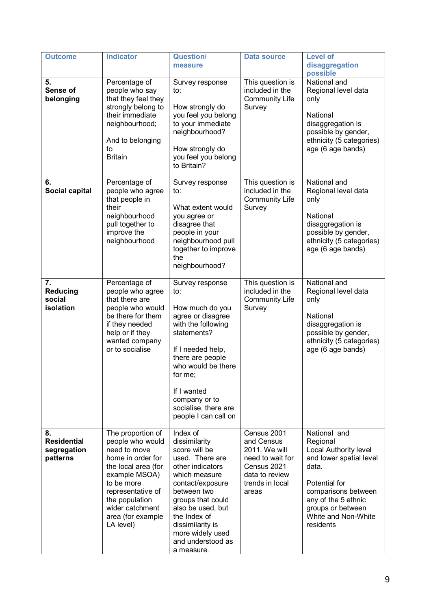| <b>Outcome</b>                                      | <b>Indicator</b>                                                                                                                                                                                                             | <b>Question/</b><br>measure                                                                                                                                                                                                                                                | <b>Data source</b>                                                                                                          | <b>Level of</b><br>disaggregation<br>possible                                                                                                                                                                 |
|-----------------------------------------------------|------------------------------------------------------------------------------------------------------------------------------------------------------------------------------------------------------------------------------|----------------------------------------------------------------------------------------------------------------------------------------------------------------------------------------------------------------------------------------------------------------------------|-----------------------------------------------------------------------------------------------------------------------------|---------------------------------------------------------------------------------------------------------------------------------------------------------------------------------------------------------------|
| 5.<br>Sense of<br>belonging                         | Percentage of<br>people who say<br>that they feel they<br>strongly belong to<br>their immediate<br>neighbourhood;<br>And to belonging<br>to<br><b>Britain</b>                                                                | Survey response<br>to:<br>How strongly do<br>you feel you belong<br>to your immediate<br>neighbourhood?<br>How strongly do<br>you feel you belong<br>to Britain?                                                                                                           | This question is<br>included in the<br><b>Community Life</b><br>Survey                                                      | National and<br>Regional level data<br>only<br>National<br>disaggregation is<br>possible by gender,<br>ethnicity (5 categories)<br>age (6 age bands)                                                          |
| 6.<br>Social capital                                | Percentage of<br>people who agree<br>that people in<br>their<br>neighbourhood<br>pull together to<br>improve the<br>neighbourhood                                                                                            | Survey response<br>to:<br>What extent would<br>you agree or<br>disagree that<br>people in your<br>neighbourhood pull<br>together to improve<br>the<br>neighbourhood?                                                                                                       | This question is<br>included in the<br><b>Community Life</b><br>Survey                                                      | National and<br>Regional level data<br>only<br>National<br>disaggregation is<br>possible by gender,<br>ethnicity (5 categories)<br>age (6 age bands)                                                          |
| 7.<br><b>Reducing</b><br>social<br>isolation        | Percentage of<br>people who agree<br>that there are<br>people who would<br>be there for them<br>if they needed<br>help or if they<br>wanted company<br>or to socialise                                                       | Survey response<br>to:<br>How much do you<br>agree or disagree<br>with the following<br>statements?<br>If I needed help,<br>there are people<br>who would be there<br>for me;<br>If I wanted<br>company or to<br>socialise, there are<br>people I can call on              | This question is<br>included in the<br><b>Community Life</b><br>Survey                                                      | National and<br>Regional level data<br>only<br>National<br>disaggregation is<br>possible by gender,<br>ethnicity (5 categories)<br>age (6 age bands)                                                          |
| 8.<br><b>Residential</b><br>segregation<br>patterns | The proportion of<br>people who would<br>need to move<br>home in order for<br>the local area (for<br>example MSOA)<br>to be more<br>representative of<br>the population<br>wider catchment<br>area (for example<br>LA level) | Index of<br>dissimilarity<br>score will be<br>used. There are<br>other indicators<br>which measure<br>contact/exposure<br>between two<br>groups that could<br>also be used, but<br>the Index of<br>dissimilarity is<br>more widely used<br>and understood as<br>a measure. | Census 2001<br>and Census<br>2011. We will<br>need to wait for<br>Census 2021<br>data to review<br>trends in local<br>areas | National and<br>Regional<br>Local Authority level<br>and lower spatial level<br>data.<br>Potential for<br>comparisons between<br>any of the 5 ethnic<br>groups or between<br>White and Non-White<br>residents |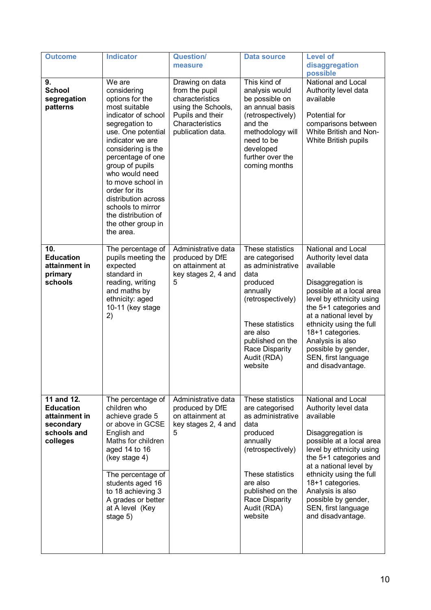| <b>Outcome</b>                                                                          | <b>Indicator</b>                                                                                                                                                                                                                                                                                                                                                         | <b>Question/</b><br>measure                                                                                                            | <b>Data source</b>                                                                                                                                                                                            | <b>Level of</b><br>disaggregation<br>possible                                                                                                                                                                                                                                                                                   |
|-----------------------------------------------------------------------------------------|--------------------------------------------------------------------------------------------------------------------------------------------------------------------------------------------------------------------------------------------------------------------------------------------------------------------------------------------------------------------------|----------------------------------------------------------------------------------------------------------------------------------------|---------------------------------------------------------------------------------------------------------------------------------------------------------------------------------------------------------------|---------------------------------------------------------------------------------------------------------------------------------------------------------------------------------------------------------------------------------------------------------------------------------------------------------------------------------|
| 9.<br><b>School</b><br>segregation<br>patterns                                          | We are<br>considering<br>options for the<br>most suitable<br>indicator of school<br>segregation to<br>use. One potential<br>indicator we are<br>considering is the<br>percentage of one<br>group of pupils<br>who would need<br>to move school in<br>order for its<br>distribution across<br>schools to mirror<br>the distribution of<br>the other group in<br>the area. | Drawing on data<br>from the pupil<br>characteristics<br>using the Schools,<br>Pupils and their<br>Characteristics<br>publication data. | This kind of<br>analysis would<br>be possible on<br>an annual basis<br>(retrospectively)<br>and the<br>methodology will<br>need to be<br>developed<br>further over the<br>coming months                       | National and Local<br>Authority level data<br>available<br>Potential for<br>comparisons between<br>White British and Non-<br>White British pupils                                                                                                                                                                               |
| 10.<br><b>Education</b><br>attainment in<br>primary<br>schools                          | The percentage of<br>pupils meeting the<br>expected<br>standard in<br>reading, writing<br>and maths by<br>ethnicity: aged<br>10-11 (key stage<br>2)                                                                                                                                                                                                                      | Administrative data<br>produced by DfE<br>on attainment at<br>key stages 2, 4 and<br>5                                                 | These statistics<br>are categorised<br>as administrative<br>data<br>produced<br>annually<br>(retrospectively)<br>These statistics<br>are also<br>published on the<br>Race Disparity<br>Audit (RDA)<br>website | National and Local<br>Authority level data<br>available<br>Disaggregation is<br>possible at a local area<br>level by ethnicity using<br>the 5+1 categories and<br>at a national level by<br>ethnicity using the full<br>18+1 categories.<br>Analysis is also<br>possible by gender,<br>SEN, first language<br>and disadvantage. |
| 11 and 12.<br><b>Education</b><br>attainment in<br>secondary<br>schools and<br>colleges | The percentage of<br>children who<br>achieve grade 5<br>or above in GCSE<br>English and<br>Maths for children<br>aged 14 to 16<br>(key stage 4)<br>The percentage of<br>students aged 16<br>to 18 achieving 3<br>A grades or better<br>at A level (Key<br>stage 5)                                                                                                       | Administrative data<br>produced by DfE<br>on attainment at<br>key stages 2, 4 and<br>5                                                 | These statistics<br>are categorised<br>as administrative<br>data<br>produced<br>annually<br>(retrospectively)<br>These statistics<br>are also<br>published on the<br>Race Disparity<br>Audit (RDA)<br>website | National and Local<br>Authority level data<br>available<br>Disaggregation is<br>possible at a local area<br>level by ethnicity using<br>the 5+1 categories and<br>at a national level by<br>ethnicity using the full<br>18+1 categories.<br>Analysis is also<br>possible by gender,<br>SEN, first language<br>and disadvantage. |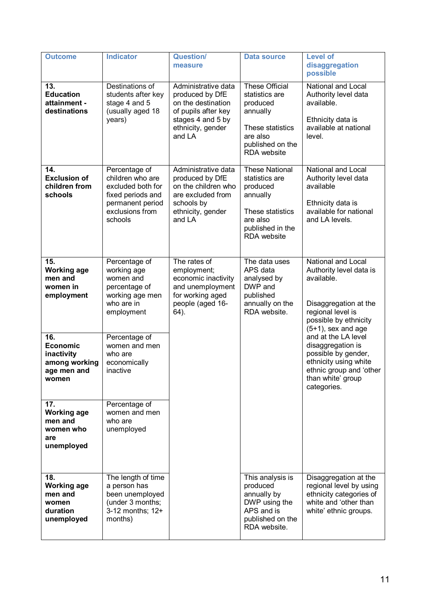| <b>Outcome</b>                                                                | <b>Indicator</b>                                                                                                              | <b>Question/</b><br>measure                                                                                                             | <b>Data source</b>                                                                                                                 | <b>Level of</b><br>disaggregation<br>possible                                                                                                               |
|-------------------------------------------------------------------------------|-------------------------------------------------------------------------------------------------------------------------------|-----------------------------------------------------------------------------------------------------------------------------------------|------------------------------------------------------------------------------------------------------------------------------------|-------------------------------------------------------------------------------------------------------------------------------------------------------------|
| 13.<br><b>Education</b><br>attainment -<br>destinations                       | Destinations of<br>students after key<br>stage 4 and 5<br>(usually aged 18<br>years)                                          | Administrative data<br>produced by DfE<br>on the destination<br>of pupils after key<br>stages 4 and 5 by<br>ethnicity, gender<br>and LA | <b>These Official</b><br>statistics are<br>produced<br>annually<br>These statistics<br>are also<br>published on the<br>RDA website | National and Local<br>Authority level data<br>available.<br>Ethnicity data is<br>available at national<br>level.                                            |
| 14.<br><b>Exclusion of</b><br>children from<br>schools                        | Percentage of<br>children who are<br>excluded both for<br>fixed periods and<br>permanent period<br>exclusions from<br>schools | Administrative data<br>produced by DfE<br>on the children who<br>are excluded from<br>schools by<br>ethnicity, gender<br>and LA         | <b>These National</b><br>statistics are<br>produced<br>annually<br>These statistics<br>are also<br>published in the<br>RDA website | National and Local<br>Authority level data<br>available<br>Ethnicity data is<br>available for national<br>and LA levels.                                    |
| 15.<br><b>Working age</b><br>men and<br>women in<br>employment                | Percentage of<br>working age<br>women and<br>percentage of<br>working age men<br>who are in<br>employment                     | The rates of<br>employment;<br>economic inactivity<br>and unemployment<br>for working aged<br>people (aged 16-<br>64).                  | The data uses<br>APS data<br>analysed by<br>DWP and<br>published<br>annually on the<br>RDA website.                                | National and Local<br>Authority level data is<br>available.<br>Disaggregation at the<br>regional level is<br>possible by ethnicity<br>$(5+1)$ , sex and age |
| 16.<br><b>Economic</b><br>inactivity<br>among working<br>age men and<br>women | Percentage of<br>women and men<br>who are<br>economically<br>inactive                                                         |                                                                                                                                         |                                                                                                                                    | and at the LA level<br>disaggregation is<br>possible by gender,<br>ethnicity using white<br>ethnic group and 'other<br>than white' group<br>categories.     |
| 17.<br><b>Working age</b><br>men and<br>women who<br>are<br>unemployed        | Percentage of<br>women and men<br>who are<br>unemployed                                                                       |                                                                                                                                         |                                                                                                                                    |                                                                                                                                                             |
| 18.<br><b>Working age</b><br>men and<br>women<br>duration<br>unemployed       | The length of time<br>a person has<br>been unemployed<br>(under 3 months;<br>3-12 months; 12+<br>months)                      |                                                                                                                                         | This analysis is<br>produced<br>annually by<br>DWP using the<br>APS and is<br>published on the<br>RDA website.                     | Disaggregation at the<br>regional level by using<br>ethnicity categories of<br>white and 'other than<br>white' ethnic groups.                               |